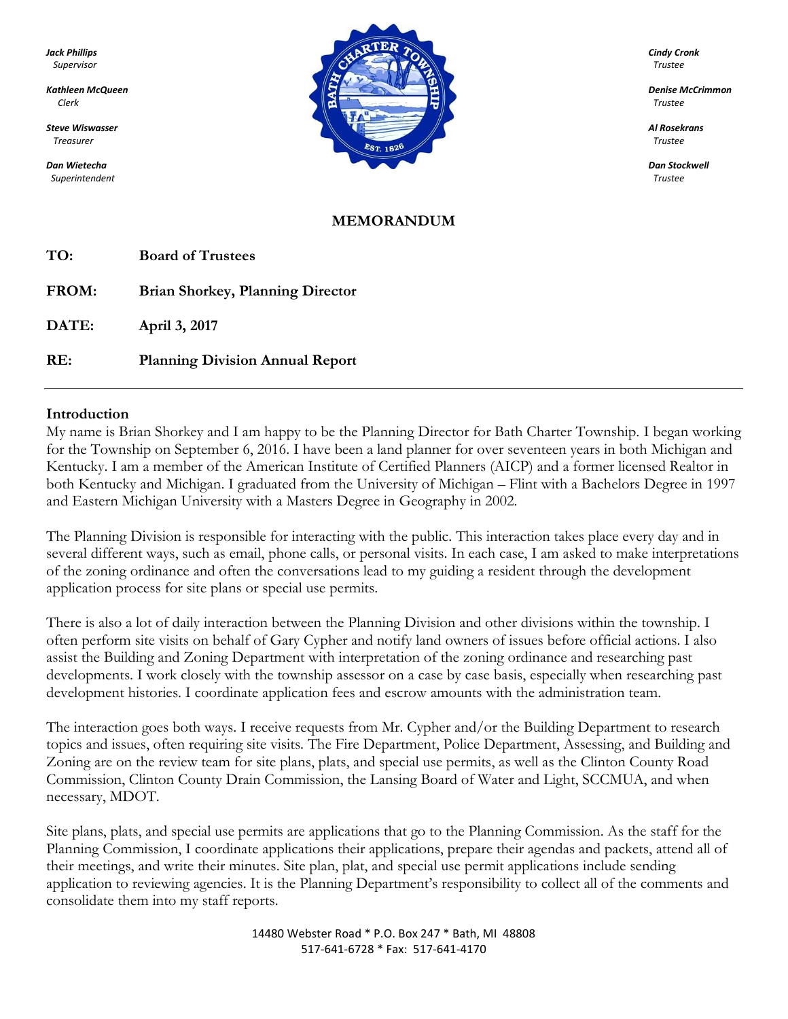*Superintendent Trustee*



#### **MEMORANDUM**

| TO:   | <b>Board of Trustees</b>                |
|-------|-----------------------------------------|
| FROM: | <b>Brian Shorkey, Planning Director</b> |
| DATE: | April 3, 2017                           |
| RE:   | <b>Planning Division Annual Report</b>  |

#### **Introduction**

My name is Brian Shorkey and I am happy to be the Planning Director for Bath Charter Township. I began working for the Township on September 6, 2016. I have been a land planner for over seventeen years in both Michigan and Kentucky. I am a member of the American Institute of Certified Planners (AICP) and a former licensed Realtor in both Kentucky and Michigan. I graduated from the University of Michigan – Flint with a Bachelors Degree in 1997 and Eastern Michigan University with a Masters Degree in Geography in 2002.

The Planning Division is responsible for interacting with the public. This interaction takes place every day and in several different ways, such as email, phone calls, or personal visits. In each case, I am asked to make interpretations of the zoning ordinance and often the conversations lead to my guiding a resident through the development application process for site plans or special use permits.

There is also a lot of daily interaction between the Planning Division and other divisions within the township. I often perform site visits on behalf of Gary Cypher and notify land owners of issues before official actions. I also assist the Building and Zoning Department with interpretation of the zoning ordinance and researching past developments. I work closely with the township assessor on a case by case basis, especially when researching past development histories. I coordinate application fees and escrow amounts with the administration team.

The interaction goes both ways. I receive requests from Mr. Cypher and/or the Building Department to research topics and issues, often requiring site visits. The Fire Department, Police Department, Assessing, and Building and Zoning are on the review team for site plans, plats, and special use permits, as well as the Clinton County Road Commission, Clinton County Drain Commission, the Lansing Board of Water and Light, SCCMUA, and when necessary, MDOT.

Site plans, plats, and special use permits are applications that go to the Planning Commission. As the staff for the Planning Commission, I coordinate applications their applications, prepare their agendas and packets, attend all of their meetings, and write their minutes. Site plan, plat, and special use permit applications include sending application to reviewing agencies. It is the Planning Department's responsibility to collect all of the comments and consolidate them into my staff reports.

> 14480 Webster Road \* P.O. Box 247 \* Bath, MI 48808 517-641-6728 \* Fax: 517-641-4170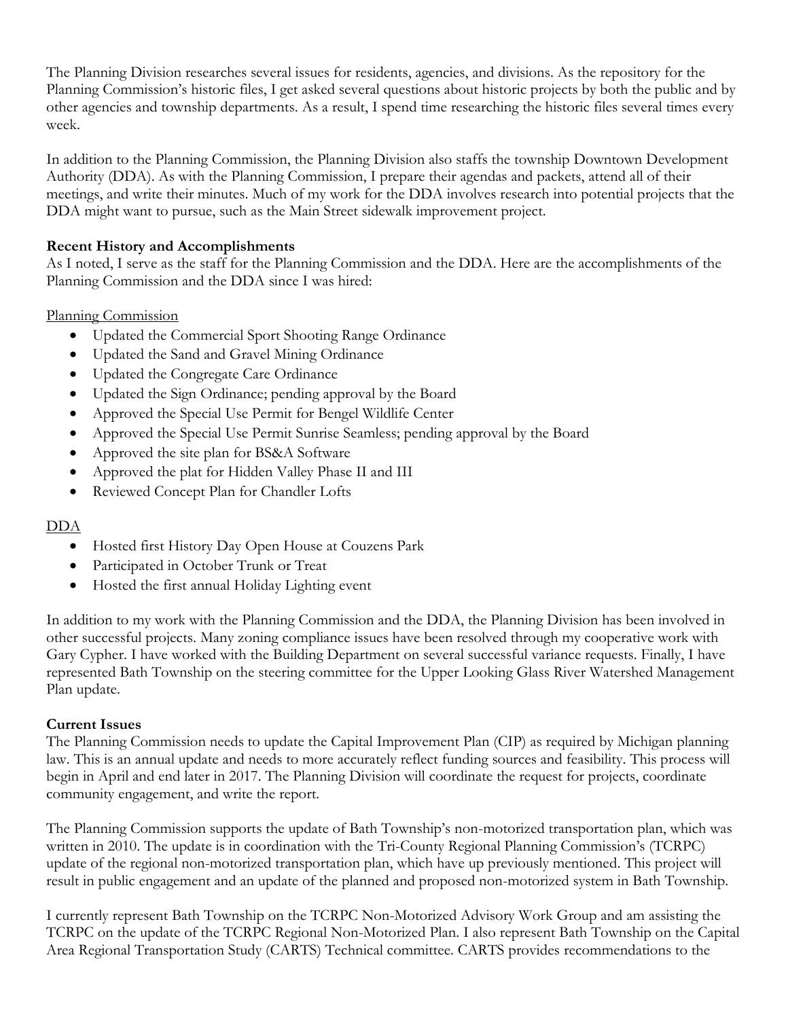The Planning Division researches several issues for residents, agencies, and divisions. As the repository for the Planning Commission's historic files, I get asked several questions about historic projects by both the public and by other agencies and township departments. As a result, I spend time researching the historic files several times every week.

In addition to the Planning Commission, the Planning Division also staffs the township Downtown Development Authority (DDA). As with the Planning Commission, I prepare their agendas and packets, attend all of their meetings, and write their minutes. Much of my work for the DDA involves research into potential projects that the DDA might want to pursue, such as the Main Street sidewalk improvement project.

## **Recent History and Accomplishments**

As I noted, I serve as the staff for the Planning Commission and the DDA. Here are the accomplishments of the Planning Commission and the DDA since I was hired:

## Planning Commission

- Updated the Commercial Sport Shooting Range Ordinance
- Updated the Sand and Gravel Mining Ordinance
- Updated the Congregate Care Ordinance
- Updated the Sign Ordinance; pending approval by the Board
- Approved the Special Use Permit for Bengel Wildlife Center
- Approved the Special Use Permit Sunrise Seamless; pending approval by the Board
- Approved the site plan for BS&A Software
- Approved the plat for Hidden Valley Phase II and III
- Reviewed Concept Plan for Chandler Lofts

# DDA

- Hosted first History Day Open House at Couzens Park
- Participated in October Trunk or Treat
- Hosted the first annual Holiday Lighting event

In addition to my work with the Planning Commission and the DDA, the Planning Division has been involved in other successful projects. Many zoning compliance issues have been resolved through my cooperative work with Gary Cypher. I have worked with the Building Department on several successful variance requests. Finally, I have represented Bath Township on the steering committee for the Upper Looking Glass River Watershed Management Plan update.

### **Current Issues**

The Planning Commission needs to update the Capital Improvement Plan (CIP) as required by Michigan planning law. This is an annual update and needs to more accurately reflect funding sources and feasibility. This process will begin in April and end later in 2017. The Planning Division will coordinate the request for projects, coordinate community engagement, and write the report.

The Planning Commission supports the update of Bath Township's non-motorized transportation plan, which was written in 2010. The update is in coordination with the Tri-County Regional Planning Commission's (TCRPC) update of the regional non-motorized transportation plan, which have up previously mentioned. This project will result in public engagement and an update of the planned and proposed non-motorized system in Bath Township.

I currently represent Bath Township on the TCRPC Non-Motorized Advisory Work Group and am assisting the TCRPC on the update of the TCRPC Regional Non-Motorized Plan. I also represent Bath Township on the Capital Area Regional Transportation Study (CARTS) Technical committee. CARTS provides recommendations to the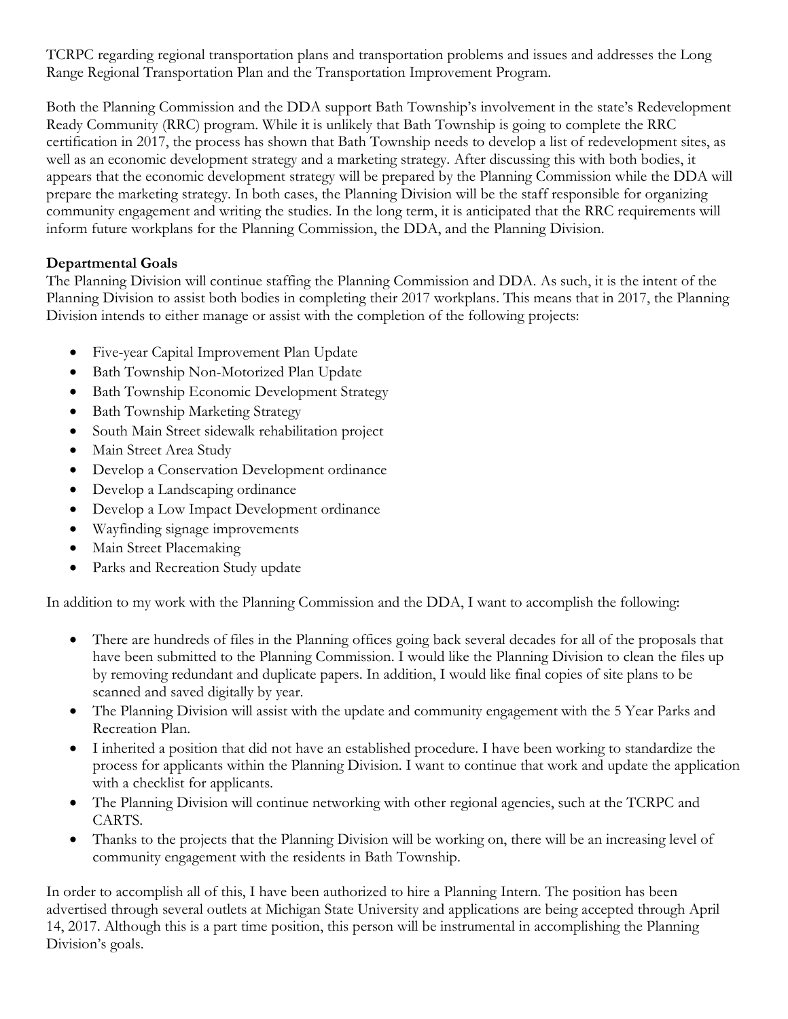TCRPC regarding regional transportation plans and transportation problems and issues and addresses the Long Range Regional Transportation Plan and the Transportation Improvement Program.

Both the Planning Commission and the DDA support Bath Township's involvement in the state's Redevelopment Ready Community (RRC) program. While it is unlikely that Bath Township is going to complete the RRC certification in 2017, the process has shown that Bath Township needs to develop a list of redevelopment sites, as well as an economic development strategy and a marketing strategy. After discussing this with both bodies, it appears that the economic development strategy will be prepared by the Planning Commission while the DDA will prepare the marketing strategy. In both cases, the Planning Division will be the staff responsible for organizing community engagement and writing the studies. In the long term, it is anticipated that the RRC requirements will inform future workplans for the Planning Commission, the DDA, and the Planning Division.

# **Departmental Goals**

The Planning Division will continue staffing the Planning Commission and DDA. As such, it is the intent of the Planning Division to assist both bodies in completing their 2017 workplans. This means that in 2017, the Planning Division intends to either manage or assist with the completion of the following projects:

- Five-year Capital Improvement Plan Update
- Bath Township Non-Motorized Plan Update
- Bath Township Economic Development Strategy
- Bath Township Marketing Strategy
- South Main Street sidewalk rehabilitation project
- Main Street Area Study
- Develop a Conservation Development ordinance
- Develop a Landscaping ordinance
- Develop a Low Impact Development ordinance
- Wayfinding signage improvements
- Main Street Placemaking
- Parks and Recreation Study update

In addition to my work with the Planning Commission and the DDA, I want to accomplish the following:

- There are hundreds of files in the Planning offices going back several decades for all of the proposals that have been submitted to the Planning Commission. I would like the Planning Division to clean the files up by removing redundant and duplicate papers. In addition, I would like final copies of site plans to be scanned and saved digitally by year.
- The Planning Division will assist with the update and community engagement with the 5 Year Parks and Recreation Plan.
- I inherited a position that did not have an established procedure. I have been working to standardize the process for applicants within the Planning Division. I want to continue that work and update the application with a checklist for applicants.
- The Planning Division will continue networking with other regional agencies, such at the TCRPC and CARTS.
- Thanks to the projects that the Planning Division will be working on, there will be an increasing level of community engagement with the residents in Bath Township.

In order to accomplish all of this, I have been authorized to hire a Planning Intern. The position has been advertised through several outlets at Michigan State University and applications are being accepted through April 14, 2017. Although this is a part time position, this person will be instrumental in accomplishing the Planning Division's goals.